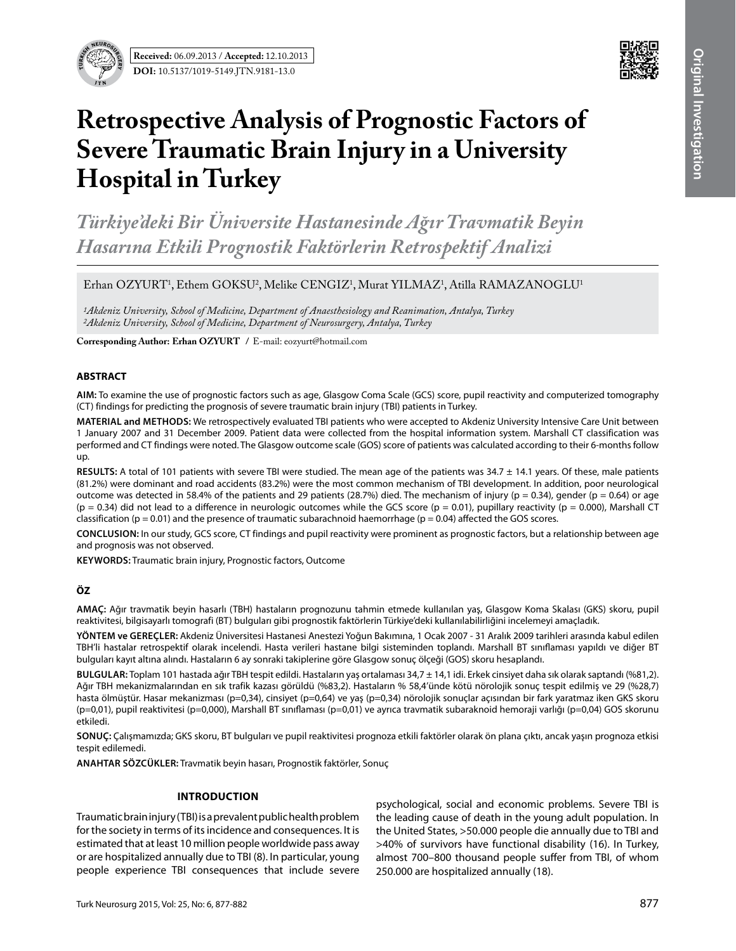



# **Retrospective Analysis of Prognostic Factors of Severe Traumatic Brain Injury in a University Hospital in Turkey**

*Türkiye'deki Bir Üniversite Hastanesinde Ağır Travmatik Beyin Hasarına Etkili Prognostik Faktörlerin Retrospektif Analizi*

 $E$ rhan OZYURT<sup>1</sup>, Ethem GOKSU<sup>2</sup>, Melike CENGIZ<sup>1</sup>, Murat YILMAZ<sup>1</sup>, Atilla RAMAZANOGLU<sup>1</sup>

*1Akdeniz University, School of Medicine, Department of Anaesthesiology and Reanimation, Antalya, Turkey 2Akdeniz University, School of Medicine, Department of Neurosurgery, Antalya, Turkey* 

**Corresponding Author: Erhan OZYURT /** E-mail: eozyurt@hotmail.com

## **ABSTRACT**

**AIm:** To examine the use of prognostic factors such as age, Glasgow Coma Scale (GCS) score, pupil reactivity and computerized tomography (CT) findings for predicting the prognosis of severe traumatic brain injury (TBI) patients in Turkey.

**MaterIal and Methods:** We retrospectively evaluated TBI patients who were accepted to Akdeniz University Intensive Care Unit between 1 January 2007 and 31 December 2009. Patient data were collected from the hospital information system. Marshall CT classification was performed and CT findings were noted. The Glasgow outcome scale (GOS) score of patients was calculated according to their 6-months follow up.

**Results:** A total of 101 patients with severe TBI were studied. The mean age of the patients was 34.7 ± 14.1 years. Of these, male patients (81.2%) were dominant and road accidents (83.2%) were the most common mechanism of TBI development. In addition, poor neurological outcome was detected in 58.4% of the patients and 29 patients (28.7%) died. The mechanism of injury ( $p = 0.34$ ), gender ( $p = 0.64$ ) or age  $(p = 0.34)$  did not lead to a difference in neurologic outcomes while the GCS score  $(p = 0.01)$ , pupillary reactivity  $(p = 0.000)$ , Marshall CT classification ( $p = 0.01$ ) and the presence of traumatic subarachnoid haemorrhage ( $p = 0.04$ ) affected the GOS scores.

**ConclusIon:** In our study, GCS score, CT findings and pupil reactivity were prominent as prognostic factors, but a relationship between age and prognosis was not observed.

**Keywords:** Traumatic brain injury, Prognostic factors, Outcome

# **ÖZ**

**AMAÇ:** Ağır travmatik beyin hasarlı (TBH) hastaların prognozunu tahmin etmede kullanılan yaş, Glasgow Koma Skalası (GKS) skoru, pupil reaktivitesi, bilgisayarlı tomografi (BT) bulguları gibi prognostik faktörlerin Türkiye'deki kullanılabilirliğini incelemeyi amaçladık.

**YÖNTEM ve GEREÇLER:** Akdeniz Üniversitesi Hastanesi Anestezi Yoğun Bakımına, 1 Ocak 2007 - 31 Aralık 2009 tarihleri arasında kabul edilen TBH'li hastalar retrospektif olarak incelendi. Hasta verileri hastane bilgi sisteminden toplandı. Marshall BT sınıflaması yapıldı ve diğer BT bulguları kayıt altına alındı. Hastaların 6 ay sonraki takiplerine göre Glasgow sonuç ölçeği (GOS) skoru hesaplandı.

**BULGULAR:** Toplam 101 hastada ağır TBH tespit edildi. Hastaların yaş ortalaması 34,7 ± 14,1 idi. Erkek cinsiyet daha sık olarak saptandı (%81,2). Ağır TBH mekanizmalarından en sık trafik kazası görüldü (%83,2). Hastaların % 58,4'ünde kötü nörolojik sonuç tespit edilmiş ve 29 (%28,7) hasta ölmüştür. Hasar mekanizması (p=0,34), cinsiyet (p=0,64) ve yaş (p=0,34) nörolojik sonuçlar açısından bir fark yaratmaz iken GKS skoru (p=0,01), pupil reaktivitesi (p=0,000), Marshall BT sınıflaması (p=0,01) ve ayrıca travmatik subaraknoid hemoraji varlığı (p=0,04) GOS skorunu etkiledi.

**SONUÇ:** Çalışmamızda; GKS skoru, BT bulguları ve pupil reaktivitesi prognoza etkili faktörler olarak ön plana çıktı, ancak yaşın prognoza etkisi tespit edilemedi.

**ANAHTAR SÖZCÜKLER:** Travmatik beyin hasarı, Prognostik faktörler, Sonuç

#### **Introduction**

Traumatic brain injury (TBI) is a prevalent public health problem for the society in terms of its incidence and consequences. It is estimated that at least 10 million people worldwide pass away or are hospitalized annually due to TBI (8). In particular, young people experience TBI consequences that include severe

psychological, social and economic problems. Severe TBI is the leading cause of death in the young adult population. In the United States, >50.000 people die annually due to TBI and >40% of survivors have functional disability (16). In Turkey, almost 700–800 thousand people suffer from TBI, of whom 250.000 are hospitalized annually (18).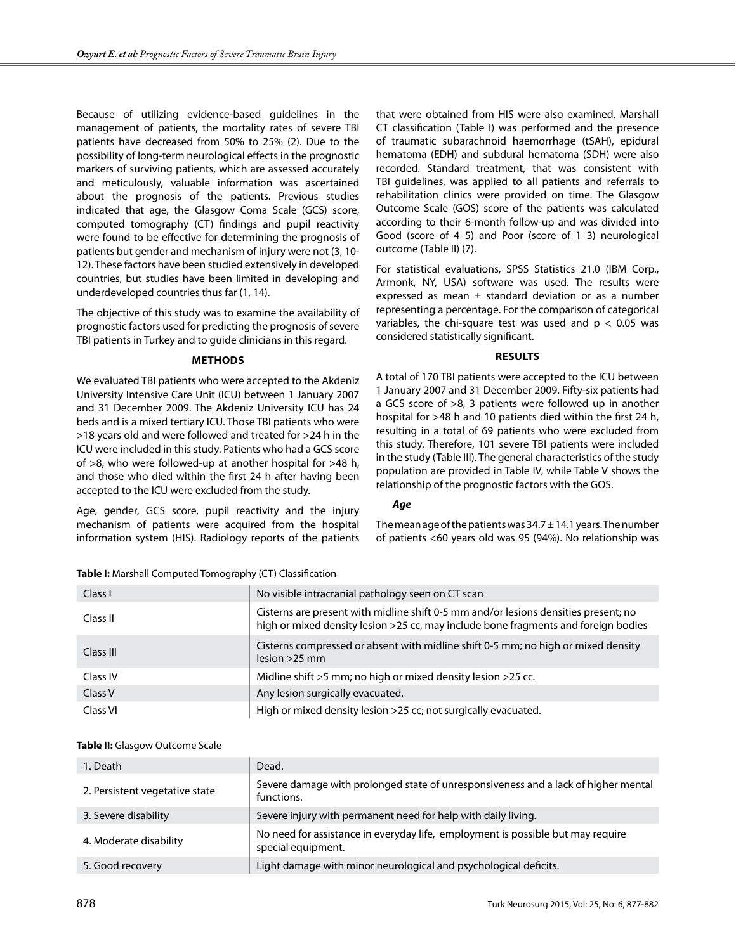Because of utilizing evidence-based guidelines in the management of patients, the mortality rates of severe TBI patients have decreased from 50% to 25% (2). Due to the possibility of long-term neurological effects in the prognostic markers of surviving patients, which are assessed accurately and meticulously, valuable information was ascertained about the prognosis of the patients. Previous studies indicated that age, the Glasgow Coma Scale (GCS) score, computed tomography (CT) findings and pupil reactivity were found to be effective for determining the prognosis of patients but gender and mechanism of injury were not (3, 10- 12). These factors have been studied extensively in developed countries, but studies have been limited in developing and underdeveloped countries thus far (1, 14).

The objective of this study was to examine the availability of prognostic factors used for predicting the prognosis of severe TBI patients in Turkey and to guide clinicians in this regard.

## **Methods**

We evaluated TBI patients who were accepted to the Akdeniz University Intensive Care Unit (ICU) between 1 January 2007 and 31 December 2009. The Akdeniz University ICU has 24 beds and is a mixed tertiary ICU. Those TBI patients who were >18 years old and were followed and treated for >24 h in the ICU were included in this study. Patients who had a GCS score of >8, who were followed-up at another hospital for >48 h, and those who died within the first 24 h after having been accepted to the ICU were excluded from the study.

Age, gender, GCS score, pupil reactivity and the injury mechanism of patients were acquired from the hospital information system (HIS). Radiology reports of the patients that were obtained from HIS were also examined. Marshall CT classification (Table I) was performed and the presence of traumatic subarachnoid haemorrhage (tSAH), epidural hematoma (EDH) and subdural hematoma (SDH) were also recorded. Standard treatment, that was consistent with TBI guidelines, was applied to all patients and referrals to rehabilitation clinics were provided on time. The Glasgow Outcome Scale (GOS) score of the patients was calculated according to their 6-month follow-up and was divided into Good (score of 4–5) and Poor (score of 1–3) neurological outcome (Table II) (7).

For statistical evaluations, SPSS Statistics 21.0 (IBM Corp., Armonk, NY, USA) software was used. The results were expressed as mean  $\pm$  standard deviation or as a number representing a percentage. For the comparison of categorical variables, the chi-square test was used and  $p < 0.05$  was considered statistically significant.

## **Results**

A total of 170 TBI patients were accepted to the ICU between 1 January 2007 and 31 December 2009. Fifty-six patients had a GCS score of >8, 3 patients were followed up in another hospital for >48 h and 10 patients died within the first 24 h, resulting in a total of 69 patients who were excluded from this study. Therefore, 101 severe TBI patients were included in the study (Table III). The general characteristics of the study population are provided in Table IV, while Table V shows the relationship of the prognostic factors with the GOS.

# *Age*

The mean age of the patients was  $34.7 \pm 14.1$  years. The number of patients <60 years old was 95 (94%). No relationship was

| Class I            | No visible intracranial pathology seen on CT scan                                                                                                                         |
|--------------------|---------------------------------------------------------------------------------------------------------------------------------------------------------------------------|
| Class II           | Cisterns are present with midline shift 0-5 mm and/or lesions densities present; no<br>high or mixed density lesion >25 cc, may include bone fragments and foreign bodies |
| Class III          | Cisterns compressed or absent with midline shift 0-5 mm; no high or mixed density<br>$lesion > 25$ mm                                                                     |
| Class IV           | Midline shift >5 mm; no high or mixed density lesion >25 cc.                                                                                                              |
| Class <sub>V</sub> | Any lesion surgically evacuated.                                                                                                                                          |
| Class VI           | High or mixed density lesion >25 cc; not surgically evacuated.                                                                                                            |

## **Table I:** Marshall Computed Tomography (CT) Classification

# **Table II:** Glasgow Outcome Scale

| 1. Death                       | Dead.                                                                                                 |
|--------------------------------|-------------------------------------------------------------------------------------------------------|
| 2. Persistent vegetative state | Severe damage with prolonged state of unresponsiveness and a lack of higher mental<br>functions.      |
| 3. Severe disability           | Severe injury with permanent need for help with daily living.                                         |
| 4. Moderate disability         | No need for assistance in everyday life, employment is possible but may require<br>special equipment. |
| 5. Good recovery               | Light damage with minor neurological and psychological deficits.                                      |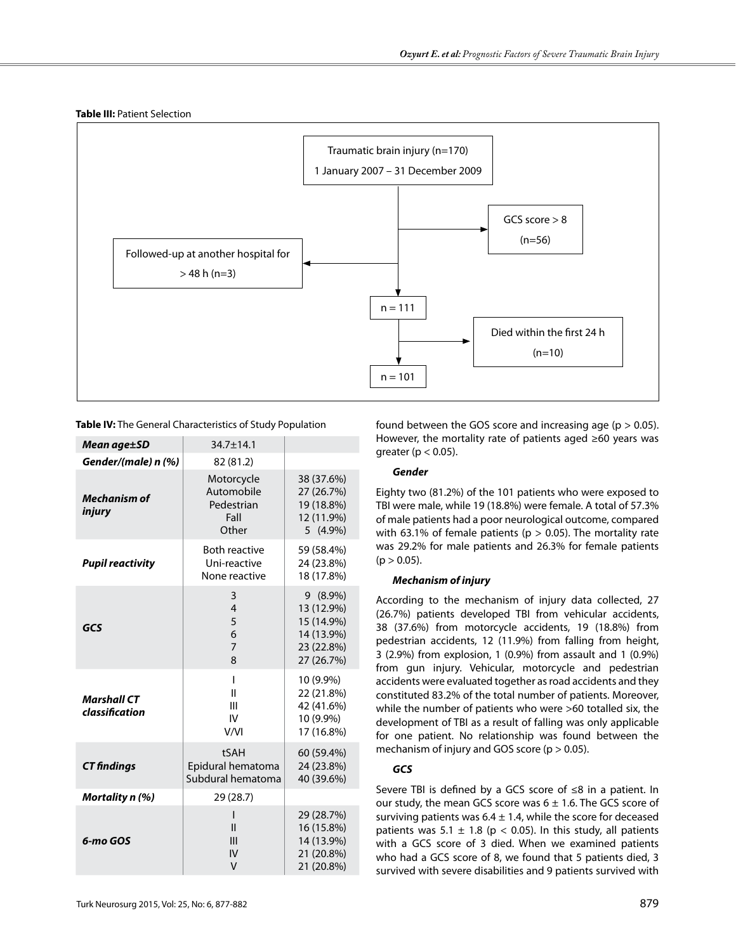



**Table IV:** The General Characteristics of Study Population

| Mean age±SD                          | $34.7 \pm 14.1$                                         |                                                                                  |
|--------------------------------------|---------------------------------------------------------|----------------------------------------------------------------------------------|
| Gender/(male) n (%)                  | 82 (81.2)                                               |                                                                                  |
| <b>Mechanism of</b><br>injury        | Motorcycle<br>Automobile<br>Pedestrian<br>Fall<br>Other | 38 (37.6%)<br>27 (26.7%)<br>19 (18.8%)<br>12 (11.9%)<br>5 (4.9%)                 |
| <b>Pupil reactivity</b>              | <b>Both reactive</b><br>Uni-reactive<br>None reactive   | 59 (58.4%)<br>24 (23.8%)<br>18 (17.8%)                                           |
| GCS                                  | 3<br>4<br>5<br>6<br>$\overline{7}$<br>8                 | $9(8.9\%)$<br>13 (12.9%)<br>15 (14.9%)<br>14 (13.9%)<br>23 (22.8%)<br>27 (26.7%) |
| <b>Marshall CT</b><br>classification | I<br>Ш<br>Ш<br>IV<br>V/VI                               | 10 (9.9%)<br>22 (21.8%)<br>42 (41.6%)<br>10 (9.9%)<br>17 (16.8%)                 |
| <b>CT</b> findings                   | tSAH<br>Epidural hematoma<br>Subdural hematoma          | 60 (59.4%)<br>24 (23.8%)<br>40 (39.6%)                                           |
| Mortality n (%)                      | 29 (28.7)                                               |                                                                                  |
| 6-mo GOS                             | $\mathsf{I}$<br>Ш<br>ΙV<br>v                            | 29 (28.7%)<br>16 (15.8%)<br>14 (13.9%)<br>21 (20.8%)<br>21 (20.8%)               |

found between the GOS score and increasing age ( $p > 0.05$ ). However, the mortality rate of patients aged ≥60 years was greater ( $p < 0.05$ ).

## *Gender*

Eighty two (81.2%) of the 101 patients who were exposed to TBI were male, while 19 (18.8%) were female. A total of 57.3% of male patients had a poor neurological outcome, compared with 63.1% of female patients ( $p > 0.05$ ). The mortality rate was 29.2% for male patients and 26.3% for female patients  $(p > 0.05)$ .

# *Mechanism of injury*

According to the mechanism of injury data collected, 27 (26.7%) patients developed TBI from vehicular accidents, 38 (37.6%) from motorcycle accidents, 19 (18.8%) from pedestrian accidents, 12 (11.9%) from falling from height, 3 (2.9%) from explosion, 1 (0.9%) from assault and 1 (0.9%) from gun injury. Vehicular, motorcycle and pedestrian accidents were evaluated together as road accidents and they constituted 83.2% of the total number of patients. Moreover, while the number of patients who were >60 totalled six, the development of TBI as a result of falling was only applicable for one patient. No relationship was found between the mechanism of injury and GOS score ( $p > 0.05$ ).

# *GCS*

Severe TBI is defined by a GCS score of ≤8 in a patient. In our study, the mean GCS score was  $6 \pm 1.6$ . The GCS score of surviving patients was  $6.4 \pm 1.4$ , while the score for deceased patients was 5.1  $\pm$  1.8 (p < 0.05). In this study, all patients with a GCS score of 3 died. When we examined patients who had a GCS score of 8, we found that 5 patients died, 3 survived with severe disabilities and 9 patients survived with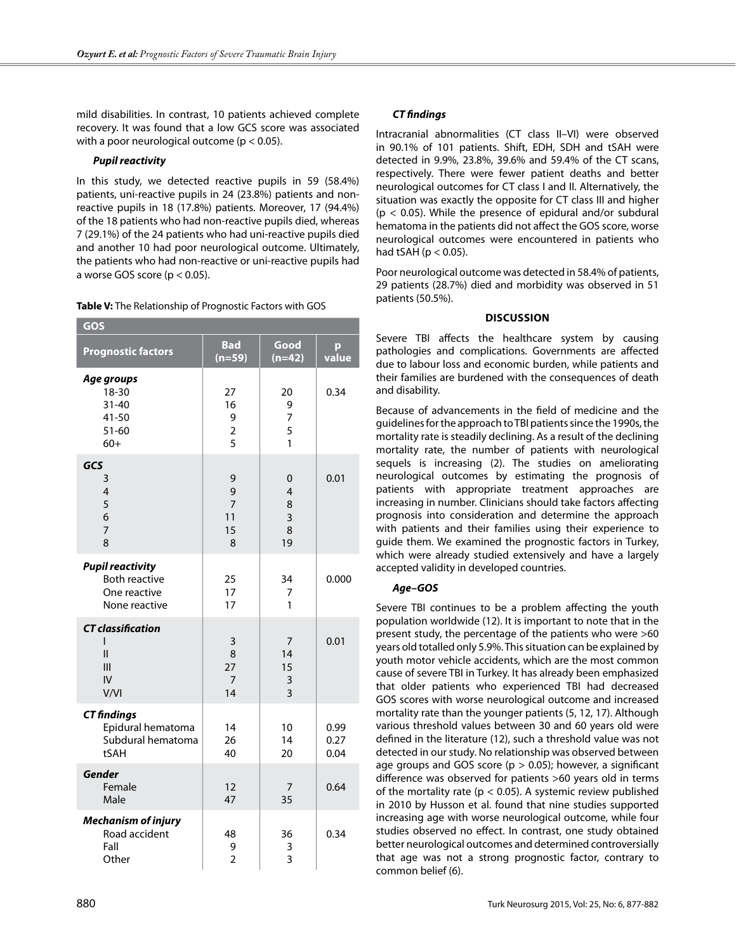mild disabilities. In contrast, 10 patients achieved complete recovery. It was found that a low GCS score was associated with a poor neurological outcome ( $p < 0.05$ ).

# *Pupil reactivity*

In this study, we detected reactive pupils in 59 (58.4%) patients, uni-reactive pupils in 24 (23.8%) patients and nonreactive pupils in 18 (17.8%) patients. Moreover, 17 (94.4%) of the 18 patients who had non-reactive pupils died, whereas 7 (29.1%) of the 24 patients who had uni-reactive pupils died and another 10 had poor neurological outcome. Ultimately, the patients who had non-reactive or uni-reactive pupils had a worse GOS score ( $p < 0.05$ ).

**Table V:** The Relationship of Prognostic Factors with GOS

| GOS                                                                              |                                        |                             |                      |  |  |
|----------------------------------------------------------------------------------|----------------------------------------|-----------------------------|----------------------|--|--|
| <b>Prognostic factors</b>                                                        | <b>Bad</b><br>$(n=59)$                 | Good<br>$(n=42)$            | р<br>value           |  |  |
| Age groups<br>18-30<br>$31 - 40$<br>41-50<br>51-60<br>$60+$                      | 27<br>16<br>9<br>$\boldsymbol{2}$<br>5 | 20<br>9<br>7<br>5<br>1      | 0.34                 |  |  |
| GCS<br>3<br>4<br>5<br>6<br>$\overline{7}$<br>8                                   | 9<br>9<br>7<br>11<br>15<br>8           | 0<br>4<br>8<br>3<br>8<br>19 | 0.01                 |  |  |
| <b>Pupil reactivity</b><br><b>Both reactive</b><br>One reactive<br>None reactive | 25<br>17<br>17                         | 34<br>7<br>1                | 0.000                |  |  |
| <b>CT</b> classification<br>ı<br>Ш<br>III<br>IV<br>V/VI                          | 3<br>8<br>27<br>7<br>14                | 7<br>14<br>15<br>3<br>3     | 0.01                 |  |  |
| <b>CT</b> findings<br>Epidural hematoma<br>Subdural hematoma<br>tSAH             | 14<br>26<br>40                         | 10<br>14<br>20              | 0.99<br>0.27<br>0.04 |  |  |
| Gender<br>Female<br>Male                                                         | 12<br>47                               | 7<br>35                     | 0.64                 |  |  |
| <b>Mechanism of injury</b><br>Road accident<br>Fall<br>Other                     | 48<br>9<br>$\overline{2}$              | 36<br>3<br>3                | 0.34                 |  |  |

# *CT findings*

Intracranial abnormalities (CT class II–VI) were observed in 90.1% of 101 patients. Shift, EDH, SDH and tSAH were detected in 9.9%, 23.8%, 39.6% and 59.4% of the CT scans, respectively. There were fewer patient deaths and better neurological outcomes for CT class I and II. Alternatively, the situation was exactly the opposite for CT class III and higher ( $p < 0.05$ ). While the presence of epidural and/or subdural hematoma in the patients did not affect the GOS score, worse neurological outcomes were encountered in patients who had tSAH ( $p < 0.05$ ).

Poor neurological outcome was detected in 58.4% of patients, 29 patients (28.7%) died and morbidity was observed in 51 patients (50.5%).

## **Discussion**

Severe TBI affects the healthcare system by causing pathologies and complications. Governments are affected due to labour loss and economic burden, while patients and their families are burdened with the consequences of death and disability.

Because of advancements in the field of medicine and the guidelines for the approach to TBI patients since the 1990s, the mortality rate is steadily declining. As a result of the declining mortality rate, the number of patients with neurological sequels is increasing (2). The studies on ameliorating neurological outcomes by estimating the prognosis of patients with appropriate treatment approaches are increasing in number. Clinicians should take factors affecting prognosis into consideration and determine the approach with patients and their families using their experience to guide them. We examined the prognostic factors in Turkey, which were already studied extensively and have a largely accepted validity in developed countries.

# *Age–GOS*

Severe TBI continues to be a problem affecting the youth population worldwide (12). It is important to note that in the present study, the percentage of the patients who were >60 years old totalled only 5.9%. This situation can be explained by youth motor vehicle accidents, which are the most common cause of severe TBI in Turkey. It has already been emphasized that older patients who experienced TBI had decreased GOS scores with worse neurological outcome and increased mortality rate than the younger patients (5, 12, 17). Although various threshold values between 30 and 60 years old were defined in the literature (12), such a threshold value was not detected in our study. No relationship was observed between age groups and GOS score ( $p > 0.05$ ); however, a significant difference was observed for patients >60 years old in terms of the mortality rate ( $p < 0.05$ ). A systemic review published in 2010 by Husson et al. found that nine studies supported increasing age with worse neurological outcome, while four studies observed no effect. In contrast, one study obtained better neurological outcomes and determined controversially that age was not a strong prognostic factor, contrary to common belief (6).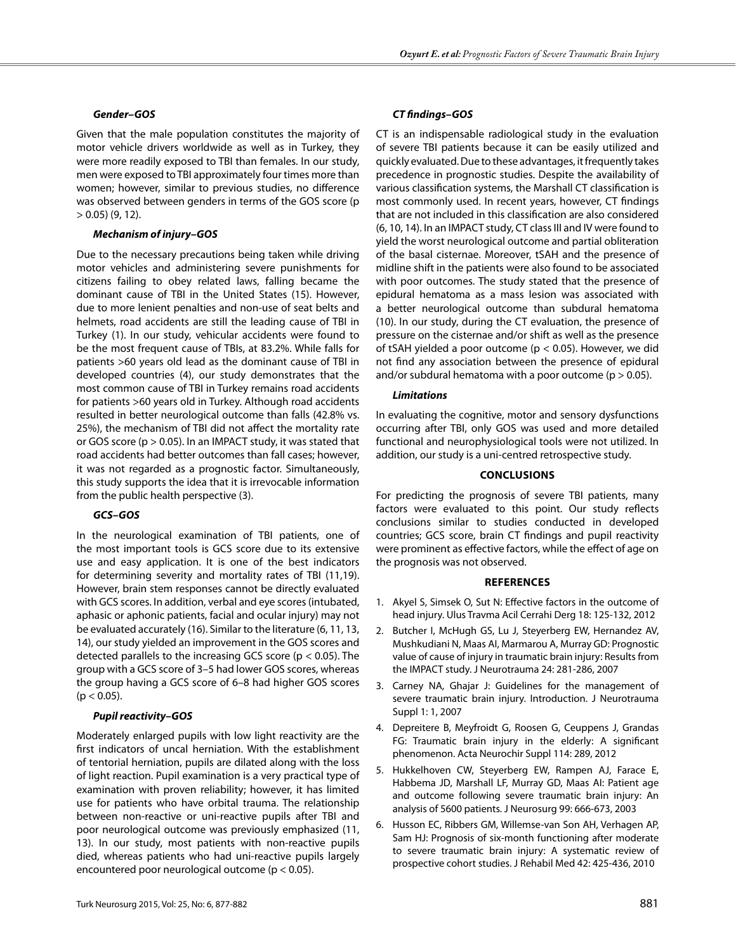## *Gender–GOS*

Given that the male population constitutes the majority of motor vehicle drivers worldwide as well as in Turkey, they were more readily exposed to TBI than females. In our study, men were exposed to TBI approximately four times more than women; however, similar to previous studies, no difference was observed between genders in terms of the GOS score (p  $> 0.05$ ) (9, 12).

## *Mechanism of injury–GOS*

Due to the necessary precautions being taken while driving motor vehicles and administering severe punishments for citizens failing to obey related laws, falling became the dominant cause of TBI in the United States (15). However, due to more lenient penalties and non-use of seat belts and helmets, road accidents are still the leading cause of TBI in Turkey (1). In our study, vehicular accidents were found to be the most frequent cause of TBIs, at 83.2%. While falls for patients >60 years old lead as the dominant cause of TBI in developed countries (4), our study demonstrates that the most common cause of TBI in Turkey remains road accidents for patients >60 years old in Turkey. Although road accidents resulted in better neurological outcome than falls (42.8% vs. 25%), the mechanism of TBI did not affect the mortality rate or GOS score (p > 0.05). In an IMPACT study, it was stated that road accidents had better outcomes than fall cases; however, it was not regarded as a prognostic factor. Simultaneously, this study supports the idea that it is irrevocable information from the public health perspective (3).

# *GCS–GOS*

In the neurological examination of TBI patients, one of the most important tools is GCS score due to its extensive use and easy application. It is one of the best indicators for determining severity and mortality rates of TBI (11,19). However, brain stem responses cannot be directly evaluated with GCS scores. In addition, verbal and eye scores (intubated, aphasic or aphonic patients, facial and ocular injury) may not be evaluated accurately (16). Similar to the literature (6, 11, 13, 14), our study yielded an improvement in the GOS scores and detected parallels to the increasing GCS score (p < 0.05). The group with a GCS score of 3–5 had lower GOS scores, whereas the group having a GCS score of 6–8 had higher GOS scores  $(p < 0.05)$ .

# *Pupil reactivity–GOS*

Moderately enlarged pupils with low light reactivity are the first indicators of uncal herniation. With the establishment of tentorial herniation, pupils are dilated along with the loss of light reaction. Pupil examination is a very practical type of examination with proven reliability; however, it has limited use for patients who have orbital trauma. The relationship between non-reactive or uni-reactive pupils after TBI and poor neurological outcome was previously emphasized (11, 13). In our study, most patients with non-reactive pupils died, whereas patients who had uni-reactive pupils largely encountered poor neurological outcome (p < 0.05).

## *CT findings–GOS*

CT is an indispensable radiological study in the evaluation of severe TBI patients because it can be easily utilized and quickly evaluated. Due to these advantages, it frequently takes precedence in prognostic studies. Despite the availability of various classification systems, the Marshall CT classification is most commonly used. In recent years, however, CT findings that are not included in this classification are also considered (6, 10, 14). In an IMPACT study, CT class III and IV were found to yield the worst neurological outcome and partial obliteration of the basal cisternae. Moreover, tSAH and the presence of midline shift in the patients were also found to be associated with poor outcomes. The study stated that the presence of epidural hematoma as a mass lesion was associated with a better neurological outcome than subdural hematoma (10). In our study, during the CT evaluation, the presence of pressure on the cisternae and/or shift as well as the presence of tSAH yielded a poor outcome (p < 0.05). However, we did not find any association between the presence of epidural and/or subdural hematoma with a poor outcome ( $p > 0.05$ ).

# *Limitations*

In evaluating the cognitive, motor and sensory dysfunctions occurring after TBI, only GOS was used and more detailed functional and neurophysiological tools were not utilized. In addition, our study is a uni-centred retrospective study.

## **Conclusions**

For predicting the prognosis of severe TBI patients, many factors were evaluated to this point. Our study reflects conclusions similar to studies conducted in developed countries; GCS score, brain CT findings and pupil reactivity were prominent as effective factors, while the effect of age on the prognosis was not observed.

## **References**

- 1. Akyel S, Simsek O, Sut N: Effective factors in the outcome of head injury. Ulus Travma Acil Cerrahi Derg 18: 125-132, 2012
- 2. Butcher I, McHugh GS, Lu J, Steyerberg EW, Hernandez AV, Mushkudiani N, Maas AI, Marmarou A, Murray GD: Prognostic value of cause of injury in traumatic brain injury: Results from the IMPACT study. J Neurotrauma 24: 281-286, 2007
- 3. Carney NA, Ghajar J: Guidelines for the management of severe traumatic brain injury. Introduction. J Neurotrauma Suppl 1: 1, 2007
- 4. Depreitere B, Meyfroidt G, Roosen G, Ceuppens J, Grandas FG: Traumatic brain injury in the elderly: A significant phenomenon. Acta Neurochir Suppl 114: 289, 2012
- 5. Hukkelhoven CW, Steyerberg EW, Rampen AJ, Farace E, Habbema JD, Marshall LF, Murray GD, Maas AI: Patient age and outcome following severe traumatic brain injury: An analysis of 5600 patients. J Neurosurg 99: 666-673, 2003
- 6. Husson EC, Ribbers GM, Willemse-van Son AH, Verhagen AP, Sam HJ: Prognosis of six-month functioning after moderate to severe traumatic brain injury: A systematic review of prospective cohort studies. J Rehabil Med 42: 425-436, 2010